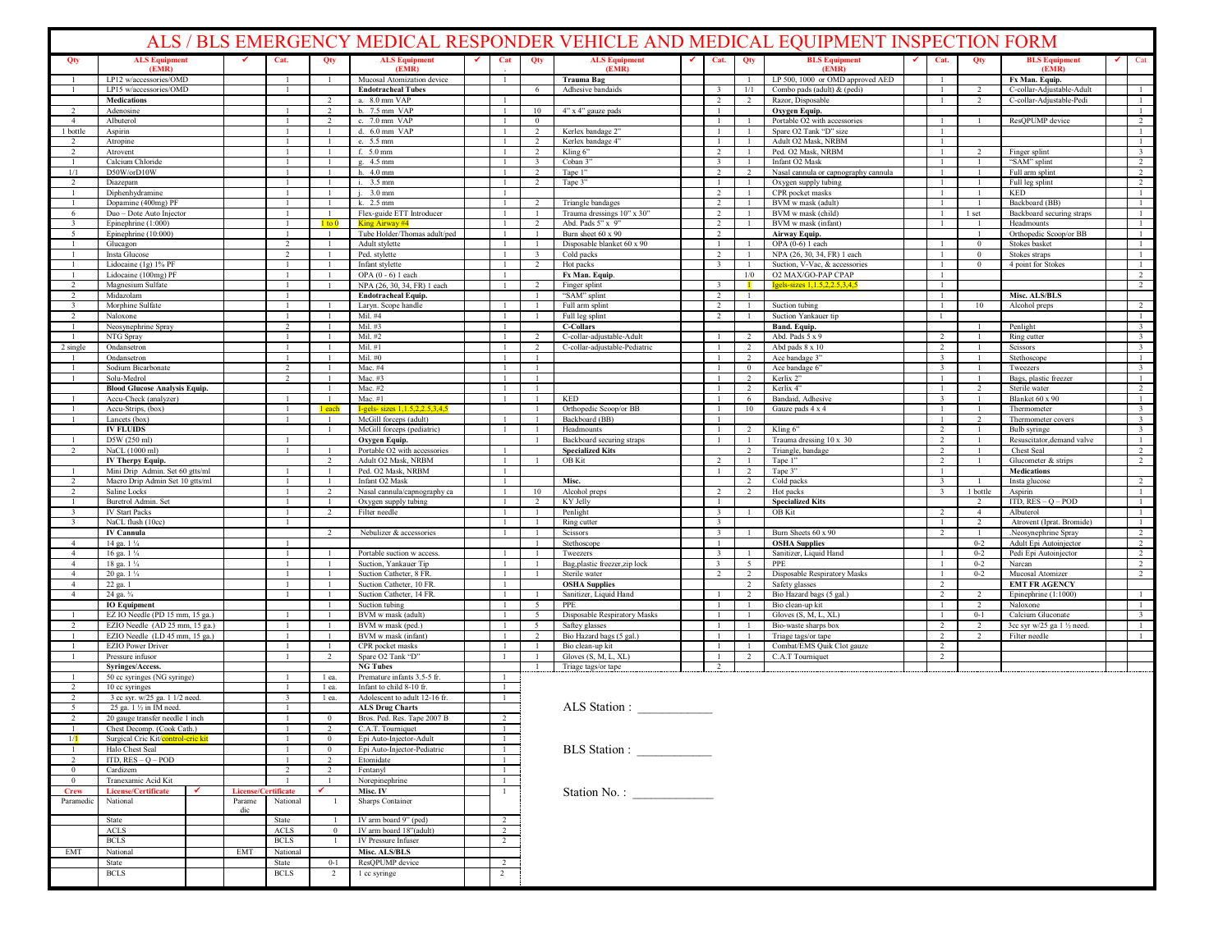| ALS / BLS EMERGENCY MEDICAL RESPONDER VEHICLE AND MEDICAL EQUIPMENT INSPECTION FORM |                                                                   |  |                     |                |                           |                                                                 |   |                              |                                         |                                                 |              |                                                    |                   |                                                   |                              |                                  |                                                  |   |                                                    |
|-------------------------------------------------------------------------------------|-------------------------------------------------------------------|--|---------------------|----------------|---------------------------|-----------------------------------------------------------------|---|------------------------------|-----------------------------------------|-------------------------------------------------|--------------|----------------------------------------------------|-------------------|---------------------------------------------------|------------------------------|----------------------------------|--------------------------------------------------|---|----------------------------------------------------|
| Qty                                                                                 | <b>ALS Equipment</b><br>(EMR)                                     |  |                     | Cat.           | Qty                       | <b>ALS Equipment</b><br>(EMR)                                   | ✔ | Cat                          | Qty                                     | <b>ALS Equipment</b><br>(EMR)                   | $\checkmark$ | Cat.                                               | Qty               | <b>BLS</b> Equipment<br>(EMR)                     | Cat.                         | Qty                              | <b>BLS</b> Equipment<br>(EMR)                    | ✓ | Cat                                                |
|                                                                                     | LP12 w/accessories/OMD                                            |  |                     | -1             |                           | Mucosal Atomization device                                      |   |                              |                                         | Trauma Bag                                      |              |                                                    | $\mathbf{1}$      | LP 500, 1000 or OMD approved AED                  |                              |                                  | Fx Man. Equip.                                   |   |                                                    |
|                                                                                     | LP15 w/accessories/OMD                                            |  |                     |                |                           | <b>Endotracheal Tubes</b>                                       |   |                              | - 6                                     | Adhesive bandaids                               |              | $\overline{\mathbf{3}}$<br>2                       | 1/1               | Combo pads (adult) & (pedi)                       |                              |                                  | C-collar-Adjustable-Adult                        |   |                                                    |
| $\mathcal{L}$                                                                       | <b>Medications</b><br>Adenosine                                   |  |                     |                | $\overline{2}$            | a. 8.0 mm VAP<br>b. 7.5 mm VAP                                  |   | $\mathbf{1}$                 | 10                                      | 4" x 4" gauze pads                              |              | -1                                                 | $\overline{2}$    | Razor, Disposable<br>Oxygen Equip.                |                              |                                  | C-collar-Adjustable-Pedi                         |   | $\mathbf{1}$                                       |
| $\overline{4}$                                                                      | Albuterol                                                         |  |                     |                | $\overline{2}$            | c. 7.0 mm VAP                                                   |   |                              | $\mathbf{0}$                            |                                                 |              |                                                    |                   | Portable O2 with accessories                      |                              |                                  | ResQPUMP device                                  |   | $\overline{2}$                                     |
| 1 bottle                                                                            | Aspirin                                                           |  |                     |                |                           | d. 6.0 mm VAP                                                   |   |                              | 2                                       | Kerlex bandage 2"                               |              |                                                    |                   | Spare O2 Tank "D" size                            |                              |                                  |                                                  |   | $\mathbf{1}$                                       |
|                                                                                     | Atropine                                                          |  |                     |                |                           | e. 5.5 mm                                                       |   |                              | 2                                       | Kerlex bandage 4"                               |              |                                                    | $\mathbf{1}$      | Adult O2 Mask, NRBM                               |                              | $\overline{2}$                   |                                                  |   | $\mathbf{1}$                                       |
|                                                                                     | Atrovent<br>Calcium Chloride                                      |  |                     |                | -1                        | f. $5.0 \text{ mm}$<br>g. 4.5 mm                                |   | -1                           | 2<br>$\overline{\mathbf{3}}$            | Kling 6"<br>Coban 3"                            |              | 2<br>$\overline{\mathbf{3}}$                       | -1                | Ped. O2 Mask, NRBM<br>Infant O2 Mask              |                              |                                  | Finger splint<br>"SAM" splint                    |   | $\overline{\mathbf{3}}$<br>$\overline{2}$          |
| 1/1                                                                                 | D50W/orD10W                                                       |  |                     |                |                           | h. 4.0 mm                                                       |   |                              | $\overline{2}$                          | Tape 1"                                         |              | 2                                                  | $\overline{2}$    | Nasal cannula or capnography cannula              |                              |                                  | Full arm splint                                  |   | $\overline{2}$                                     |
|                                                                                     | Diazepam                                                          |  |                     |                |                           | i. 3.5 mm                                                       |   |                              | 2                                       | Tape 3"                                         |              |                                                    |                   | Oxygen supply tubing                              |                              |                                  | Full leg splint                                  |   | 2                                                  |
|                                                                                     | Diphenhydramine                                                   |  |                     |                |                           | $3.0$ mm                                                        |   | $\mathbf{1}$                 |                                         |                                                 |              | 2<br>2                                             | -1                | CPR pocket masks<br>BVM w mask (adult)            |                              |                                  | KED<br>Backboard (BB)                            |   | $\mathbf{1}$<br>1                                  |
| 6                                                                                   | Dopamine (400mg) PF<br>Duo - Dote Auto Injector                   |  |                     |                | $\mathbf{1}$              | k. 2.5 mm<br>Flex-guide ETT Introducer                          |   | -1                           | 2<br>$\mathbf{1}$                       | Triangle bandages<br>Trauma dressings 10" x 30" |              | 2                                                  | -1                | BVM w mask (child)                                |                              | 1 set                            | Backboard securing straps                        |   | $\mathbf{1}$                                       |
| $\overline{\mathbf{3}}$                                                             | Epinephrine (1:000)                                               |  |                     |                | $1$ to $0$                | King Airway #4                                                  |   |                              | $\overline{2}$                          | Abd. Pads 5" x 9"                               |              | 2                                                  |                   | BVM w mask (infant)                               |                              |                                  | Headmounts                                       |   | -1                                                 |
| $\overline{\phantom{a}}$                                                            | Epinephrine (10:000)                                              |  |                     |                | $\blacksquare$            | Tube Holder/Thomas adult/ped                                    |   |                              | $\mathbf{1}$                            | Burn sheet 60 x 90                              |              | 2                                                  |                   | Airway Equip.                                     |                              |                                  | Orthopedic Scoop/or BB                           |   | $\mathbf{1}$                                       |
|                                                                                     | Glucagon                                                          |  |                     | 2              | -1                        | Adult stylette<br>Ped. stylette                                 |   | 1<br>-1                      | $\mathbf{1}$<br>$\overline{\mathbf{3}}$ | Disposable blanket 60 x 90<br>Cold packs        |              | $\mathbf{1}$<br>2                                  | -1                | OPA $(0-6)$ 1 each<br>NPA (26, 30, 34, FR) 1 each |                              | $\bf{0}$<br>$\Omega$             | Stokes basket<br>Stokes straps                   |   | $\mathbf{1}$                                       |
|                                                                                     | Insta Glucose<br>Lidocaine (1g) 1% PF                             |  |                     |                |                           | Infant stylette                                                 |   | -1                           | $\overline{2}$                          | Hot packs                                       |              | $\overline{\mathbf{3}}$                            | -1                | Suction, V-Vac, & accessories                     |                              | $\bf{0}$                         | 4 point for Stokes                               |   | $\mathbf{1}$                                       |
|                                                                                     | Lidocaine (100mg) PF                                              |  |                     |                | -1                        | OPA $(0 - 6)$ l each                                            |   |                              |                                         | Fx Man. Equip.                                  |              |                                                    | 1/0               | O2 MAX/GO-PAP CPAP                                |                              |                                  |                                                  |   | $\overline{2}$                                     |
|                                                                                     | Magnesium Sulfate                                                 |  |                     |                |                           | NPA (26, 30, 34, FR) 1 each                                     |   |                              | $\overline{2}$                          | Finger splint                                   |              | $\overline{\mathbf{3}}$                            |                   | Igels-sizes 1,1.5,2,2.5,3,4,5                     |                              |                                  |                                                  |   | 2                                                  |
|                                                                                     | Midazolam                                                         |  |                     |                |                           | <b>Endotracheal Equip.</b><br>Laryn. Scope handle               |   |                              | -1                                      | "SAM" splint<br>Full arm splint                 |              | $\overline{2}$<br>$\overline{2}$                   | -1                | Suction tubing                                    |                              | 10                               | Misc. ALS/BLS<br>Alcohol preps                   |   | 2                                                  |
| 2                                                                                   | Morphine Sulfate<br>Naloxone                                      |  |                     |                |                           | Mil. #4                                                         |   |                              | $\mathbf{1}$                            | Full leg splint                                 |              | $\overline{2}$                                     | -1                | Suction Yankauer tip                              |                              |                                  |                                                  |   | $\mathbf{1}$                                       |
|                                                                                     | Neosynephrine Spray                                               |  |                     | $\overline{2}$ |                           | Mil. #3                                                         |   |                              |                                         | <b>C-Collars</b>                                |              |                                                    |                   | Band. Equip.                                      |                              |                                  | Penlight                                         |   | $\overline{\mathbf{3}}$                            |
|                                                                                     | NTG Spray                                                         |  |                     |                |                           | Mil. #2                                                         |   |                              | $\overline{2}$                          | C-collar-adjustable-Adult                       |              |                                                    | <sup>2</sup>      | Abd. Pads 5 x 9                                   | 2                            |                                  | Ring cutter                                      |   | $\overline{3}$                                     |
| 2 single                                                                            | Ondansetron                                                       |  |                     | -1             | -1                        | Mil. #1<br>Mil. #0                                              |   | -1                           | 2                                       | C-collar-adjustable-Pediatric                   |              | -1                                                 | 2<br>2            | Abd pads 8 x 10<br>Ace bandage 3"                 | 2<br>$\overline{\mathbf{3}}$ |                                  | Scissors<br>Stethoscope                          |   | $\overline{\mathbf{3}}$<br>$\mathbf{1}$            |
|                                                                                     | Ondansetron<br>Sodium Bicarbonate                                 |  |                     | $\overline{2}$ |                           | Mac. #4                                                         |   |                              | $\mathbf{1}$<br>$\mathbf{1}$            |                                                 |              |                                                    | $\bf{0}$          | Ace bandage 6"                                    | $\overline{\mathbf{3}}$      |                                  | Tweezers                                         |   | $\overline{\mathbf{3}}$                            |
|                                                                                     | Solu-Medrol                                                       |  |                     | $\overline{2}$ |                           | Mac. #3                                                         |   |                              | $\mathbf{1}$                            |                                                 |              |                                                    | 2                 | Kerlix 2"                                         |                              |                                  | Bags, plastic freezer                            |   | $\mathbf{1}$                                       |
|                                                                                     | <b>Blood Glucose Analysis Equip.</b>                              |  |                     |                | -1                        | Mac. #2                                                         |   | $\mathbf{1}$                 | $\mathbf{1}$                            |                                                 |              |                                                    | <sup>2</sup>      | Kerlix 4"                                         |                              | $\mathcal{L}$                    | Sterile water                                    |   | $\overline{2}$                                     |
|                                                                                     | Accu-Check (analyzer)                                             |  |                     |                |                           | Mac. #1                                                         |   |                              | $\mathbf{1}$                            | KED                                             |              |                                                    | 6                 | Bandaid, Adhesive                                 | $\overline{\mathbf{3}}$      |                                  | Blanket 60 x 90                                  |   | $\mathbf{1}$                                       |
|                                                                                     | Accu-Strips, (box)<br>Lancets (box)                               |  |                     |                | l each<br>-1              | I-gels- sizes 1, 1.5, 2, 2.5, 3, 4, 5<br>McGill forceps (adult) |   |                              | $\mathbf{1}$                            | Orthopedic Scoop/or BB<br>Backboard (BB)        |              |                                                    | $10\,$            | Gauze pads 4 x 4                                  |                              | $\overline{2}$                   | Thermometer<br>Thermometer covers                |   | $\overline{\mathbf{3}}$<br>$\overline{\mathbf{3}}$ |
|                                                                                     | <b>IV FLUIDS</b>                                                  |  |                     |                |                           | McGill forceps (pediatric)                                      |   |                              |                                         | Headmounts                                      |              |                                                    | 2                 | Kling 6"                                          | $\overline{2}$               |                                  | Bulb syringe                                     |   | $\overline{3}$                                     |
|                                                                                     | D5W (250 ml)                                                      |  |                     |                |                           | Oxygen Equip.                                                   |   |                              |                                         | Backboard securing straps                       |              |                                                    | $\mathbf{1}$      | Trauma dressing 10 x 30                           | 2                            |                                  | Resuscitator, demand valve                       |   | $\mathbf{1}$                                       |
|                                                                                     | NaCL (1000 ml)                                                    |  |                     |                |                           | Portable O2 with accessories                                    |   | -1                           |                                         | <b>Specialized Kits</b>                         |              |                                                    | 2                 | Triangle, bandage                                 | 2                            |                                  | Chest Seal                                       |   | $\overline{2}$                                     |
|                                                                                     | IV Therpy Equip.<br>Mini Drip Admin. Set 60 gtts/ml               |  |                     |                | 2<br>-1                   | Adult O2 Mask, NRBM<br>Ped. O2 Mask, NRBM                       |   | $\mathbf{1}$<br>-1           |                                         | OB Kit                                          |              | 2                                                  | -2                | Tape 1"<br>Tape 3"                                | 2                            |                                  | Glucometer & strips<br>Medications               |   | 2                                                  |
|                                                                                     | Macro Drip Admin Set 10 gtts/ml                                   |  |                     |                | -1                        | Infant O2 Mask                                                  |   | $\mathbf{1}$                 |                                         | Misc.                                           |              |                                                    | <sup>2</sup>      | Cold packs                                        | $\overline{3}$               |                                  | Insta glucose                                    |   | 2                                                  |
|                                                                                     | Saline Locks                                                      |  |                     |                | $\overline{\mathcal{L}}$  | Nasal cannula/capnography ca                                    |   |                              | 10                                      | Alcohol preps                                   |              | $\overline{2}$                                     | $\overline{2}$    | Hot packs                                         | $\overline{\mathbf{3}}$      | 1 bottle                         | Aspirin                                          |   | $\mathbf{1}$                                       |
|                                                                                     | Buretrol Admin. Set                                               |  |                     |                |                           | Oxygen supply tubing                                            |   | -1                           | 2                                       | KY Jelly                                        |              | -1                                                 |                   | <b>Specialized Kits</b>                           |                              | 2                                | ITD, $RES - Q - POD$                             |   | $\mathbf{1}$                                       |
| $\overline{\mathbf{3}}$<br>$\overline{\mathbf{3}}$                                  | <b>IV Start Packs</b><br>NaCL flush (10cc)                        |  |                     |                | $\overline{2}$            | Filter needle                                                   |   | $\mathbf{1}$                 | $\mathbf{1}$                            | Penlight<br>Ring cutter                         |              | $\overline{\mathbf{3}}$<br>$\overline{\mathbf{3}}$ | -1                | OB Kit                                            | $\mathcal{L}$                | $\overline{4}$<br>$\overline{2}$ | Albuterol<br>Atrovent (Iprat. Bromide)           |   | $\mathbf{1}$<br>$\mathbf{1}$                       |
|                                                                                     | IV Cannula                                                        |  |                     |                | $\mathcal{D}$             | Nebulizer & accessories                                         |   |                              |                                         | Scissors                                        |              | $\overline{3}$                                     |                   | Burn Sheets 60 x 90                               | $\overline{2}$               |                                  | .Neosynephrine Spray                             |   | $\overline{2}$                                     |
| $\overline{4}$                                                                      | 14 ga. 1 1/4                                                      |  |                     |                |                           |                                                                 |   |                              |                                         | Stethoscope                                     |              |                                                    |                   | <b>OSHA Supplies</b>                              |                              | $0 - 2$                          | Adult Epi Autoinjector                           |   | $\overline{2}$                                     |
| $\overline{4}$                                                                      | 16 ga. 1 1/4                                                      |  |                     |                |                           | Portable suction w access.                                      |   |                              |                                         | Tweezers                                        |              | $\overline{\mathbf{3}}$                            | -1                | Sanitizer, Liquid Hand                            |                              | $0 - 2$                          | Pedi Epi Autoinjector                            |   | 2                                                  |
| $\overline{4}$<br>$\overline{4}$                                                    | 18 ga. 1 1/4<br>20 ga. 1 1/4                                      |  |                     |                | -1                        | Suction, Yankauer Tip<br>Suction Catheter, 8 FR.                |   | $\mathbf{1}$                 | -1<br>$\mathbf{1}$                      | Bag, plastic freezer, zip lock<br>Sterile water |              | $\overline{\mathbf{3}}$<br>2                       | 5<br><sup>2</sup> | PPE<br>Disposable Respiratory Masks               | $\overline{1}$               | $0 - 2$<br>$0 - 2$               | Narcan<br>Mucosal Atomizer                       |   | 2<br>2                                             |
| $\mathbf{A}$                                                                        | 22 ga. 1                                                          |  |                     |                |                           | Suction Catheter, 10 FR                                         |   | -1                           |                                         | <b>OSHA Supplies</b>                            |              |                                                    | 2                 | Safety glasses                                    | $\mathcal{L}$                |                                  | <b>EMT FR AGENCY</b>                             |   |                                                    |
| $\overline{4}$                                                                      | 24 ga. 3/4                                                        |  |                     |                |                           | Suction Catheter, 14 FR.                                        |   |                              | $\mathbf{1}$                            | Sanitizer, Liquid Hand                          |              |                                                    | 2                 | Bio Hazard bags (5 gal.)                          | 2                            |                                  | Epinephrine (1:1000)                             |   |                                                    |
|                                                                                     | <b>IO Equipment</b>                                               |  |                     |                | -1                        | Suction tubing                                                  |   | -1                           | 5 <sup>5</sup>                          | PPE                                             |              | -1                                                 | $\mathbf{1}$      | Bio clean-up kit                                  | -1                           | $\overline{2}$                   | Naloxone                                         |   | $\mathbf{1}$                                       |
|                                                                                     | EZ IO Needle (PD 15 mm, 15 ga.)<br>EZIO Needle (AD 25 mm, 15 ga.) |  |                     |                |                           | BVM w mask (adult)<br>BVM w mask (ped.)                         |   |                              | 5 <sup>5</sup><br>5                     | Disposable Respiratory Masks<br>Saftey glasses  |              |                                                    |                   | Gloves (S, M, L, XL)<br>Bio-waste sharps box      | $\overline{2}$               | $0 - 1$<br>$\mathcal{D}$         | Calcium Gluconate<br>3cc syr w/25 ga 1 1/2 need. |   | $\overline{\mathbf{3}}$<br>$\overline{1}$          |
|                                                                                     | EZIO Needle (LD 45 mm, 15 ga.)                                    |  |                     |                |                           | BVM w mask (infant)                                             |   |                              | 2                                       | Bio Hazard bags (5 gal.)                        |              |                                                    |                   | Triage tags/or tape                               | $\overline{2}$               | $\mathcal{L}$                    | Filter needle                                    |   |                                                    |
|                                                                                     | <b>EZIO Power Driver</b>                                          |  |                     |                |                           | CPR pocket masks                                                |   | $\mathbf{1}$                 | $\mathbf{1}$                            | Bio clean-up kit                                |              |                                                    | -1                | Combat/EMS Quik Clot gauze                        | 2                            |                                  |                                                  |   |                                                    |
|                                                                                     | Pressure infusor                                                  |  |                     |                | 2                         | Spare O2 Tank "D"                                               |   |                              | $\mathbf{1}$                            | Gloves (S, M, L, XL)                            |              |                                                    | 2                 | C.A.T Tourniquet                                  | 2                            |                                  |                                                  |   |                                                    |
|                                                                                     | Syringes/Access.<br>50 cc syringes (NG syringe)                   |  |                     |                | 1 ea.                     | <b>NG Tubes</b><br>Premature infants 3.5-5 fr.                  |   | -1                           |                                         | Triage tags/or tape                             |              | 2                                                  |                   |                                                   |                              |                                  |                                                  |   |                                                    |
|                                                                                     | 10 cc syringes                                                    |  |                     |                | l ea.                     | Infant to child 8-10 fr.                                        |   |                              |                                         |                                                 |              |                                                    |                   |                                                   |                              |                                  |                                                  |   |                                                    |
|                                                                                     | 3 cc syr. w/25 ga. 1 1/2 need.                                    |  |                     | $\mathcal{R}$  | 1 ea.                     | Adolescent to adult 12-16 fr.                                   |   | -1                           |                                         |                                                 |              |                                                    |                   |                                                   |                              |                                  |                                                  |   |                                                    |
| 5                                                                                   | 25 ga. 1 1/2 in IM need.                                          |  |                     |                |                           | <b>ALS Drug Charts</b>                                          |   |                              |                                         | ALS Station :                                   |              |                                                    |                   |                                                   |                              |                                  |                                                  |   |                                                    |
| 2                                                                                   | 20 gauge transfer needle 1 inch                                   |  |                     | -1             | $\bf{0}$<br>$\mathcal{L}$ | Bros. Ped. Res. Tape 2007 B<br>C.A.T. Tourniquet                |   | 2<br>-1                      |                                         |                                                 |              |                                                    |                   |                                                   |                              |                                  |                                                  |   |                                                    |
| $1/\mathbf{1}$                                                                      | Chest Decomp. (Cook Cath.)<br>Surgical Cric Kit/control-cric kit  |  |                     |                | $\bf{0}$                  | Epi Auto-Injector-Adult                                         |   | $\mathbf{1}$                 |                                         |                                                 |              |                                                    |                   |                                                   |                              |                                  |                                                  |   |                                                    |
| -1                                                                                  | Halo Chest Seal                                                   |  |                     | $\mathbf{1}$   | $\bf{0}$                  | Epi Auto-Injector-Pediatric                                     |   | $\mathbf{1}$                 |                                         | BLS Station :                                   |              |                                                    |                   |                                                   |                              |                                  |                                                  |   |                                                    |
| $\overline{2}$                                                                      | ITD, $RES - Q - POD$                                              |  |                     |                | 2                         | Etomidate                                                       |   | $\mathbf{1}$                 |                                         |                                                 |              |                                                    |                   |                                                   |                              |                                  |                                                  |   |                                                    |
| $\overline{0}$<br>$\bf{0}$                                                          | Cardizem<br>Tranexamic Acid Kit                                   |  |                     | 2              | <sup>2</sup>              | Fentanyl                                                        |   | $\mathbf{1}$<br>$\mathbf{1}$ |                                         |                                                 |              |                                                    |                   |                                                   |                              |                                  |                                                  |   |                                                    |
| <b>Crew</b>                                                                         | License/Certificate                                               |  | License/Certificate |                |                           | Norepinephrine<br>Misc. IV                                      |   | $\mathbf{1}$                 |                                         | Station No. :                                   |              |                                                    |                   |                                                   |                              |                                  |                                                  |   |                                                    |
| Paramedic                                                                           | National                                                          |  | Parame              | National       | -1                        | Sharps Container                                                |   |                              |                                         |                                                 |              |                                                    |                   |                                                   |                              |                                  |                                                  |   |                                                    |
|                                                                                     |                                                                   |  | dic                 |                |                           |                                                                 |   |                              |                                         |                                                 |              |                                                    |                   |                                                   |                              |                                  |                                                  |   |                                                    |
|                                                                                     | State<br>ACLS                                                     |  |                     | State<br>ACLS  | -1<br>$\bf{0}$            | IV arm board 9" (ped)<br>IV arm board 18"(adult)                |   | 2<br>$2^{\circ}$             |                                         |                                                 |              |                                                    |                   |                                                   |                              |                                  |                                                  |   |                                                    |
|                                                                                     | <b>BCLS</b>                                                       |  |                     | <b>BCLS</b>    |                           | IV Pressure Infuser                                             |   | $\overline{2}$               |                                         |                                                 |              |                                                    |                   |                                                   |                              |                                  |                                                  |   |                                                    |
| EMT                                                                                 | National                                                          |  | EMT                 | National       |                           | <b>Misc. ALS/BLS</b>                                            |   |                              |                                         |                                                 |              |                                                    |                   |                                                   |                              |                                  |                                                  |   |                                                    |
|                                                                                     | State                                                             |  |                     | State          | $0 - 1$                   | ResQPUMP device                                                 |   | 2                            |                                         |                                                 |              |                                                    |                   |                                                   |                              |                                  |                                                  |   |                                                    |
|                                                                                     | <b>BCLS</b>                                                       |  |                     | BCLS           | $\overline{2}$            | 1 cc syringe                                                    |   | $\overline{2}$               |                                         |                                                 |              |                                                    |                   |                                                   |                              |                                  |                                                  |   |                                                    |
|                                                                                     |                                                                   |  |                     |                |                           |                                                                 |   |                              |                                         |                                                 |              |                                                    |                   |                                                   |                              |                                  |                                                  |   |                                                    |